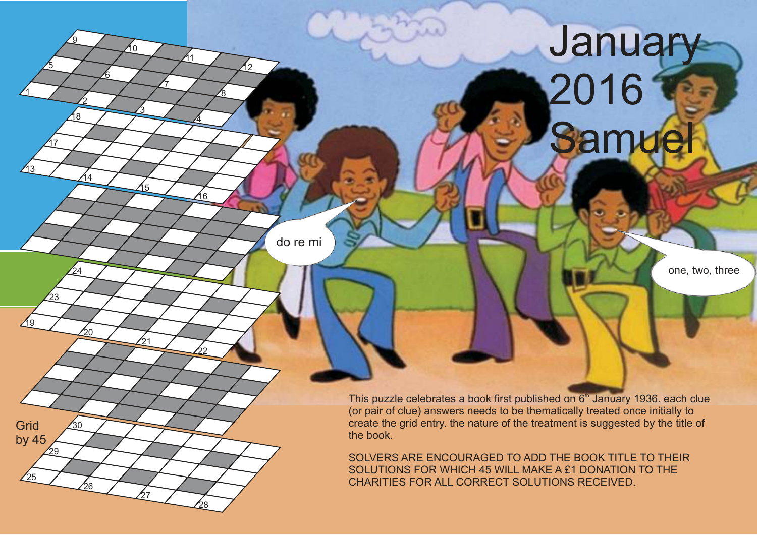## **January ME** Samuel

one, two, three

do re mi

by 45

Grid  $\sqrt{30}$ 

<u>ର</u>

<u>ნ</u>

 $\overline{28}$ 

<u>11</u>

This puzzle celebrates a book first published on 6<sup>th</sup> January 1936. each clue (or pair of clue) answers needs to be thematically treated once initially to create the grid entry. the nature of the treatment is suggested by the title of the book.

SOLVERS ARE ENCOURAGED TO ADD THE BOOK TITLE TO THEIR SOLUTIONS FOR WHICH 45 WILL MAKE A £1 DONATION TO THE CHARITIES FOR ALL CORRECT SOLUTIONS RECEIVED.